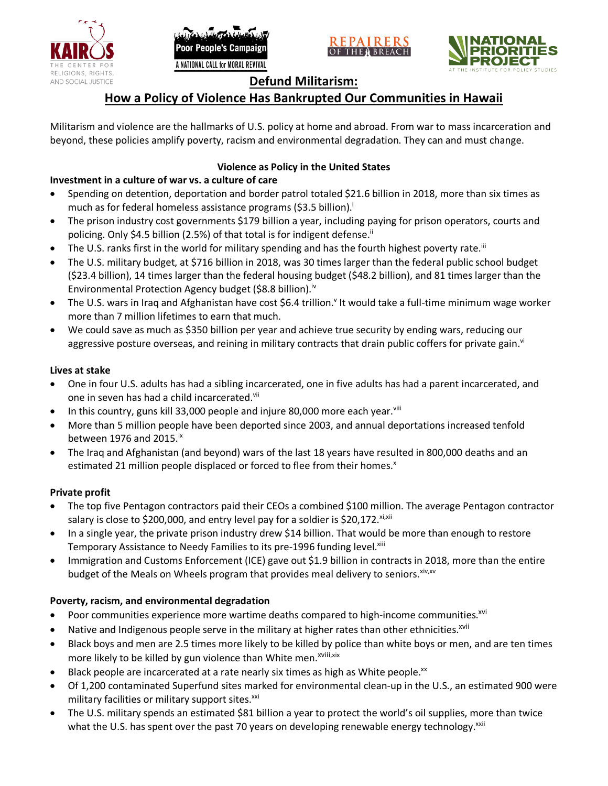





# **Defund Militarism:**

# **How a Policy of Violence Has Bankrupted Our Communities in Hawaii**

Militarism and violence are the hallmarks of U.S. policy at home and abroad. From war to mass incarceration and beyond, these policies amplify poverty, racism and environmental degradation. They can and must change.

## **Violence as Policy in the United States**

## **Investment in a culture of war vs. a culture of care**

- Spending on detention, deportation and border patrol totaled \$21.6 billion in 2018, more than six times as much as for federal homeless assistance programs (\$3.5 billion).<sup>i</sup>
- The prison industry cost governments \$179 billion a year, including paying for prison operators, courts and policing. Only \$4.5 billion (2.5%) of that total is for indigent defense.<sup>ii</sup>
- The U.S. ranks first in the world for military spending and has the fourth highest poverty rate.<sup>iii</sup>
- The U.S. military budget, at \$716 billion in 2018, was 30 times larger than the federal public school budget (\$23.4 billion), 14 times larger than the federal housing budget (\$48.2 billion), and 81 times larger than the Environmental Protection Agency budget (\$8.8 billion).<sup>iv</sup>
- The U.S. wars in Iraq and Afghanistan have cost \$6.4 trillion.<sup>v</sup> It would take a full-time minimum wage worker more than 7 million lifetimes to earn that much.
- We could save as much as \$350 billion per year and achieve true security by ending wars, reducing our aggressive posture overseas, and reining in military contracts that drain public coffers for private gain.<sup>vi</sup>

#### **Lives at stake**

- One in four U.S. adults has had a sibling incarcerated, one in five adults has had a parent incarcerated, and one in seven has had a child incarcerated.vii
- In this country, guns kill 33,000 people and injure 80,000 more each year. $v_{\text{lin}}$
- More than 5 million people have been deported since 2003, and annual deportations increased tenfold between 1976 and 2015. $\mathrm{i}$ <sup>x</sup>
- The Iraq and Afghanistan (and beyond) wars of the last 18 years have resulted in 800,000 deaths and an estimated 21 million people displaced or forced to flee from their homes.<sup>x</sup>

#### **Private profit**

- The top five Pentagon contractors paid their CEOs a combined \$100 million. The average Pentagon contractor salary is close to \$200,000, and entry level pay for a soldier is \$20,172. xi,xii
- In a single year, the private prison industry drew \$14 billion. That would be more than enough to restore Temporary Assistance to Needy Families to its pre-1996 funding level.<sup>xiii</sup>
- Immigration and Customs Enforcement (ICE) gave out \$1.9 billion in contracts in 2018, more than the entire budget of the Meals on Wheels program that provides meal delivery to seniors. Xiv, XV

### **Poverty, racism, and environmental degradation**

- Poor communities experience more wartime deaths compared to high-income communities.<sup>xvi</sup>
- Native and Indigenous people serve in the military at higher rates than other ethnicities.<sup>xvii</sup>
- Black boys and men are 2.5 times more likely to be killed by police than white boys or men, and are ten times more likely to be killed by gun violence than White men.<sup>xviii,xix</sup>
- Black people are incarcerated at a rate nearly six times as high as White people.<sup>xx</sup>
- Of 1,200 contaminated Superfund sites marked for environmental clean-up in the U.S., an estimated 900 were military facilities or military support sites.<sup>xxi</sup>
- The U.S. military spends an estimated \$81 billion a year to protect the world's oil supplies, more than twice what the U.S. has spent over the past 70 years on developing renewable energy technology.<sup>xxii</sup>